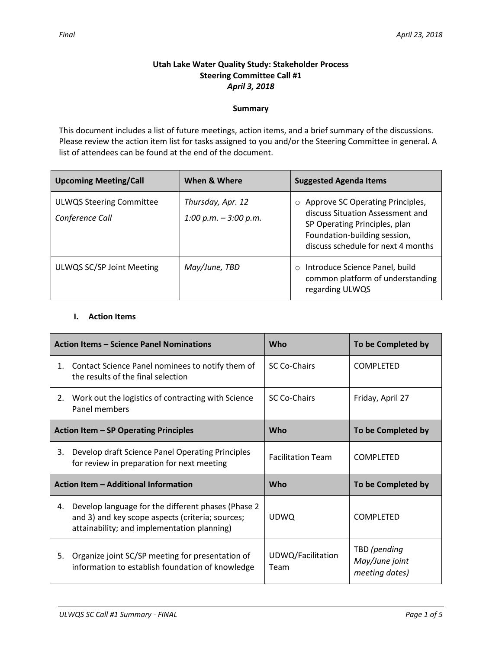# **Utah Lake Water Quality Study: Stakeholder Process Steering Committee Call #1** *April 3, 2018*

### **Summary**

This document includes a list of future meetings, action items, and a brief summary of the discussions. Please review the action item list for tasks assigned to you and/or the Steering Committee in general. A list of attendees can be found at the end of the document.

| <b>Upcoming Meeting/Call</b>                       | When & Where                                 | <b>Suggested Agenda Items</b>                                                                                                                                                          |  |
|----------------------------------------------------|----------------------------------------------|----------------------------------------------------------------------------------------------------------------------------------------------------------------------------------------|--|
| <b>ULWQS Steering Committee</b><br>Conference Call | Thursday, Apr. 12<br>1:00 p.m. $-$ 3:00 p.m. | Approve SC Operating Principles,<br>$\circ$<br>discuss Situation Assessment and<br>SP Operating Principles, plan<br>Foundation-building session,<br>discuss schedule for next 4 months |  |
| ULWQS SC/SP Joint Meeting                          | May/June, TBD                                | Introduce Science Panel, build<br>$\circ$<br>common platform of understanding<br>regarding ULWQS                                                                                       |  |

## **I. Action Items**

| <b>Action Items - Science Panel Nominations</b> |                                                                                                                                                        | <b>Who</b>                | To be Completed by                               |
|-------------------------------------------------|--------------------------------------------------------------------------------------------------------------------------------------------------------|---------------------------|--------------------------------------------------|
| 1.                                              | Contact Science Panel nominees to notify them of<br>the results of the final selection                                                                 | <b>SC Co-Chairs</b>       | <b>COMPLETED</b>                                 |
| 2.                                              | Work out the logistics of contracting with Science<br>Panel members                                                                                    | SC Co-Chairs              | Friday, April 27                                 |
|                                                 | Action Item - SP Operating Principles                                                                                                                  | Who                       | To be Completed by                               |
| 3.                                              | Develop draft Science Panel Operating Principles<br>for review in preparation for next meeting                                                         | <b>Facilitation Team</b>  | <b>COMPLETED</b>                                 |
| Action Item - Additional Information            |                                                                                                                                                        | Who                       | To be Completed by                               |
| 4.                                              | Develop language for the different phases (Phase 2)<br>and 3) and key scope aspects (criteria; sources;<br>attainability; and implementation planning) | <b>UDWQ</b>               | <b>COMPLETED</b>                                 |
| 5.                                              | Organize joint SC/SP meeting for presentation of<br>information to establish foundation of knowledge                                                   | UDWQ/Facilitation<br>Team | TBD (pending<br>May/June joint<br>meeting dates) |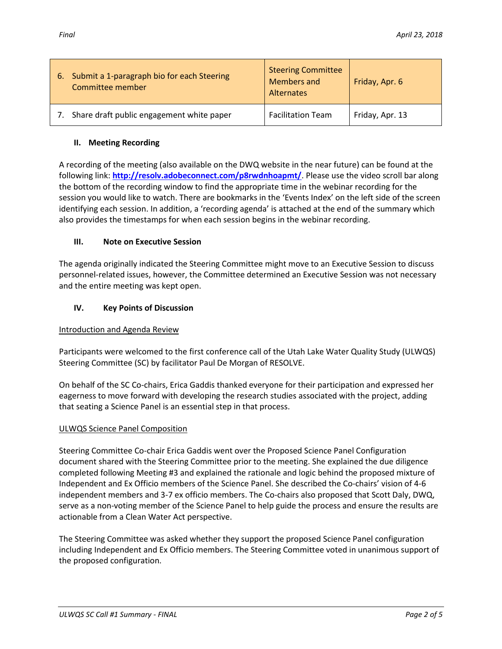| 6. | Submit a 1-paragraph bio for each Steering<br>Committee member | <b>Steering Committee</b><br>Members and<br>Alternates | Friday, Apr. 6  |
|----|----------------------------------------------------------------|--------------------------------------------------------|-----------------|
|    | Share draft public engagement white paper                      | <b>Facilitation Team</b>                               | Friday, Apr. 13 |

## **II. Meeting Recording**

A recording of the meeting (also available on the DWQ website in the near future) can be found at the following link: **<http://resolv.adobeconnect.com/p8rwdnhoapmt/>**. Please use the video scroll bar along the bottom of the recording window to find the appropriate time in the webinar recording for the session you would like to watch. There are bookmarks in the 'Events Index' on the left side of the screen identifying each session. In addition, a 'recording agenda' is attached at the end of the summary which also provides the timestamps for when each session begins in the webinar recording.

## **III. Note on Executive Session**

The agenda originally indicated the Steering Committee might move to an Executive Session to discuss personnel-related issues, however, the Committee determined an Executive Session was not necessary and the entire meeting was kept open.

## **IV. Key Points of Discussion**

### Introduction and Agenda Review

Participants were welcomed to the first conference call of the Utah Lake Water Quality Study (ULWQS) Steering Committee (SC) by facilitator Paul De Morgan of RESOLVE.

On behalf of the SC Co-chairs, Erica Gaddis thanked everyone for their participation and expressed her eagerness to move forward with developing the research studies associated with the project, adding that seating a Science Panel is an essential step in that process.

# ULWQS Science Panel Composition

Steering Committee Co-chair Erica Gaddis went over the Proposed Science Panel Configuration document shared with the Steering Committee prior to the meeting. She explained the due diligence completed following Meeting #3 and explained the rationale and logic behind the proposed mixture of Independent and Ex Officio members of the Science Panel. She described the Co-chairs' vision of 4-6 independent members and 3-7 ex officio members. The Co-chairs also proposed that Scott Daly, DWQ, serve as a non-voting member of the Science Panel to help guide the process and ensure the results are actionable from a Clean Water Act perspective.

The Steering Committee was asked whether they support the proposed Science Panel configuration including Independent and Ex Officio members. The Steering Committee voted in unanimous support of the proposed configuration.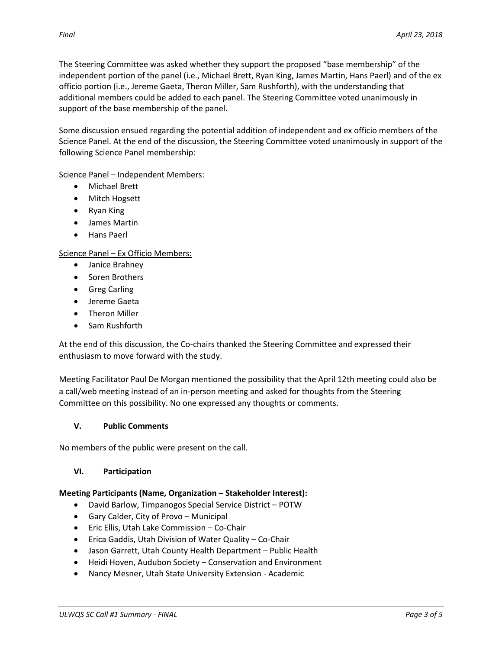The Steering Committee was asked whether they support the proposed "base membership" of the independent portion of the panel (i.e., Michael Brett, Ryan King, James Martin, Hans Paerl) and of the ex officio portion (i.e., Jereme Gaeta, Theron Miller, Sam Rushforth), with the understanding that additional members could be added to each panel. The Steering Committee voted unanimously in support of the base membership of the panel.

Some discussion ensued regarding the potential addition of independent and ex officio members of the Science Panel. At the end of the discussion, the Steering Committee voted unanimously in support of the following Science Panel membership:

Science Panel – Independent Members:

- Michael Brett
- Mitch Hogsett
- Ryan King
- James Martin
- Hans Paerl

Science Panel – Ex Officio Members:

- Janice Brahney
- Soren Brothers
- **•** Greg Carling
- Jereme Gaeta
- Theron Miller
- Sam Rushforth

At the end of this discussion, the Co-chairs thanked the Steering Committee and expressed their enthusiasm to move forward with the study.

Meeting Facilitator Paul De Morgan mentioned the possibility that the April 12th meeting could also be a call/web meeting instead of an in-person meeting and asked for thoughts from the Steering Committee on this possibility. No one expressed any thoughts or comments.

### **V. Public Comments**

No members of the public were present on the call.

### **VI. Participation**

### **Meeting Participants (Name, Organization – Stakeholder Interest):**

- David Barlow, Timpanogos Special Service District POTW
- Gary Calder, City of Provo Municipal
- Eric Ellis, Utah Lake Commission Co-Chair
- Erica Gaddis, Utah Division of Water Quality Co-Chair
- Jason Garrett, Utah County Health Department Public Health
- Heidi Hoven, Audubon Society Conservation and Environment
- Nancy Mesner, Utah State University Extension Academic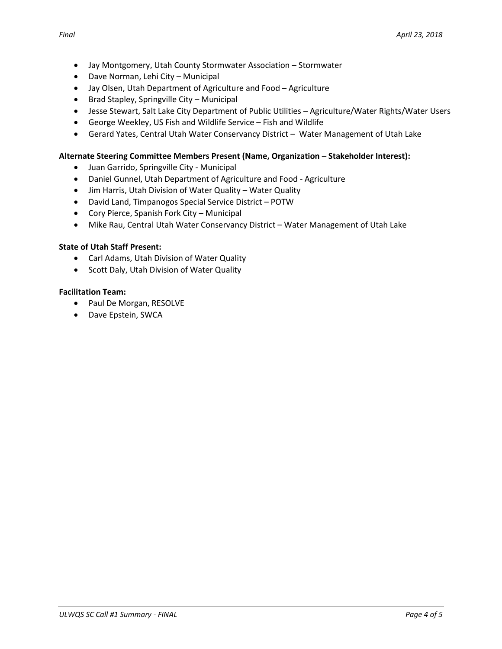- Jay Montgomery, Utah County Stormwater Association Stormwater
- Dave Norman, Lehi City Municipal
- Jay Olsen, Utah Department of Agriculture and Food Agriculture
- Brad Stapley, Springville City Municipal
- Jesse Stewart, Salt Lake City Department of Public Utilities Agriculture/Water Rights/Water Users
- George Weekley, US Fish and Wildlife Service Fish and Wildlife
- Gerard Yates, Central Utah Water Conservancy District Water Management of Utah Lake

#### **Alternate Steering Committee Members Present (Name, Organization – Stakeholder Interest):**

- Juan Garrido, Springville City Municipal
- Daniel Gunnel, Utah Department of Agriculture and Food Agriculture
- Jim Harris, Utah Division of Water Quality Water Quality
- David Land, Timpanogos Special Service District POTW
- Cory Pierce, Spanish Fork City Municipal
- Mike Rau, Central Utah Water Conservancy District Water Management of Utah Lake

#### **State of Utah Staff Present:**

- Carl Adams, Utah Division of Water Quality
- Scott Daly, Utah Division of Water Quality

#### **Facilitation Team:**

- Paul De Morgan, RESOLVE
- Dave Epstein, SWCA